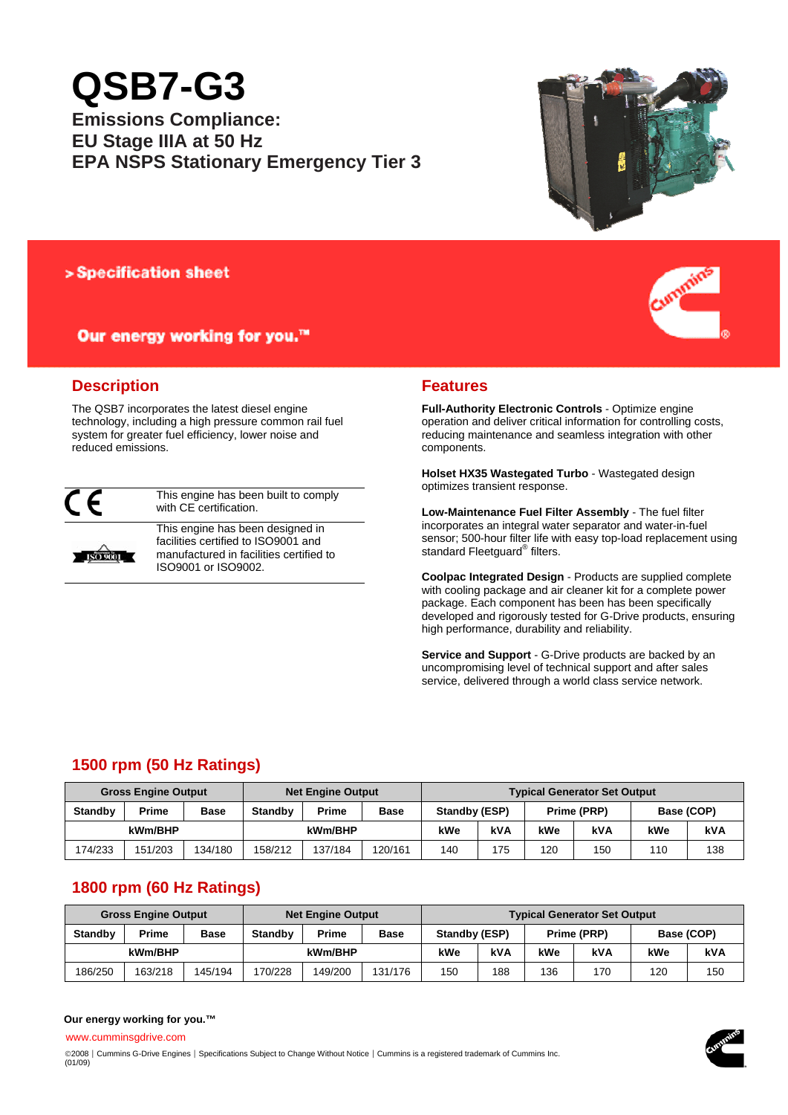# **QSB7-G3**

**Emissions Compliance: EU Stage IIIA at 50 Hz EPA NSPS Stationary Emergency Tier 3**



## > Specification sheet

# Our energy working for you.™



The QSB7 incorporates the latest diesel engine technology, including a high pressure common rail fuel system for greater fuel efficiency, lower noise and reduced emissions.



**ISO 9001** 

This engine has been built to comply with CE certification.

This engine has been designed in facilities certified to ISO9001 and manufactured in facilities certified to ISO9001 or ISO9002.



**Full-Authority Electronic Controls** - Optimize engine operation and deliver critical information for controlling costs, reducing maintenance and seamless integration with other components.

**Holset HX35 Wastegated Turbo** - Wastegated design optimizes transient response.

**Low-Maintenance Fuel Filter Assembly** - The fuel filter incorporates an integral water separator and water-in-fuel sensor; 500-hour filter life with easy top-load replacement using standard Fleetguard<sup>®</sup> filters.

**Coolpac Integrated Design** - Products are supplied complete with cooling package and air cleaner kit for a complete power package. Each component has been has been specifically developed and rigorously tested for G-Drive products, ensuring high performance, durability and reliability.

**Service and Support** - G-Drive products are backed by an uncompromising level of technical support and after sales service, delivered through a world class service network.

# **1500 rpm (50 Hz Ratings)**

| <b>Gross Engine Output</b> |              |             | <b>Net Engine Output</b> |         |         | <b>Typical Generator Set Output</b> |     |             |     |            |     |
|----------------------------|--------------|-------------|--------------------------|---------|---------|-------------------------------------|-----|-------------|-----|------------|-----|
| <b>Standby</b>             | <b>Prime</b> | <b>Base</b> | <b>Standby</b>           | Prime   | Base    | Standby (ESP)                       |     | Prime (PRP) |     | Base (COP) |     |
| kWm/BHP                    |              |             |                          | kWm/BHP |         | kWe                                 | kVA | kWe         | kVA | kWe        | kVA |
| 174/233                    | 151/203      | 134/180     | 158/212                  | 137/184 | 120/161 | 140                                 | 175 | 120         | 150 | 110        | 138 |

# **1800 rpm (60 Hz Ratings)**

|                | <b>Gross Engine Output</b> |             | <b>Net Engine Output</b> |         |             | <b>Typical Generator Set Output</b> |     |     |             |     |            |  |
|----------------|----------------------------|-------------|--------------------------|---------|-------------|-------------------------------------|-----|-----|-------------|-----|------------|--|
| <b>Standby</b> | Prime                      | <b>Base</b> | <b>Standby</b>           | Prime   | <b>Base</b> | Standby (ESP)                       |     |     | Prime (PRP) |     | Base (COP) |  |
| kWm/BHP        |                            |             |                          | kWm/BHP |             | kWe                                 | kVA | kWe | kVA         | kWe | kVA        |  |
| 186/250        | 163/218                    | 45/194      | 170/228                  | 149/200 | 131/176     | 150                                 | 188 | 136 | 170         | 120 | 150        |  |

## **Our energy working for you.™**

www.cumminsgdrive.com